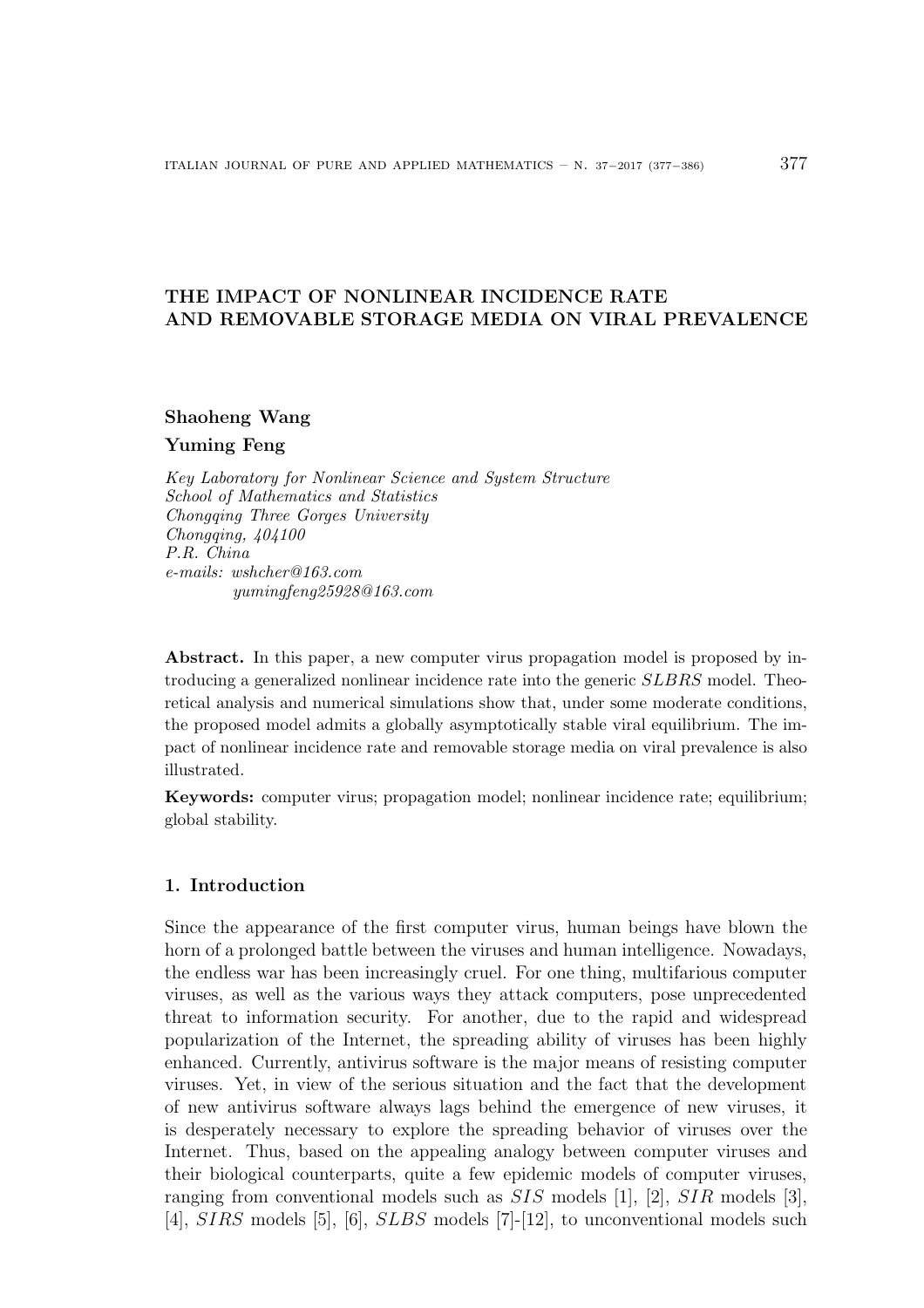## THE IMPACT OF NONLINEAR INCIDENCE RATE AND REMOVABLE STORAGE MEDIA ON VIRAL PREVALENCE

# Shaoheng Wang

Yuming Feng

*Key Laboratory for Nonlinear Science and System Structure School of Mathematics and Statistics Chongqing Three Gorges University Chongqing, 404100 P.R. China e-mails: wshcher@163.com yumingfeng25928@163.com*

Abstract. In this paper, a new computer virus propagation model is proposed by introducing a generalized nonlinear incidence rate into the generic  $SLBRS$  model. Theoretical analysis and numerical simulations show that, under some moderate conditions, the proposed model admits a globally asymptotically stable viral equilibrium. The impact of nonlinear incidence rate and removable storage media on viral prevalence is also illustrated.

Keywords: computer virus; propagation model; nonlinear incidence rate; equilibrium; global stability.

#### 1. Introduction

Since the appearance of the first computer virus, human beings have blown the horn of a prolonged battle between the viruses and human intelligence. Nowadays, the endless war has been increasingly cruel. For one thing, multifarious computer viruses, as well as the various ways they attack computers, pose unprecedented threat to information security. For another, due to the rapid and widespread popularization of the Internet, the spreading ability of viruses has been highly enhanced. Currently, antivirus software is the major means of resisting computer viruses. Yet, in view of the serious situation and the fact that the development of new antivirus software always lags behind the emergence of new viruses, it is desperately necessary to explore the spreading behavior of viruses over the Internet. Thus, based on the appealing analogy between computer viruses and their biological counterparts, quite a few epidemic models of computer viruses, ranging from conventional models such as SIS models [1], [2], SIR models [3], [4], SIRS models [5], [6], SLBS models [7]-[12], to unconventional models such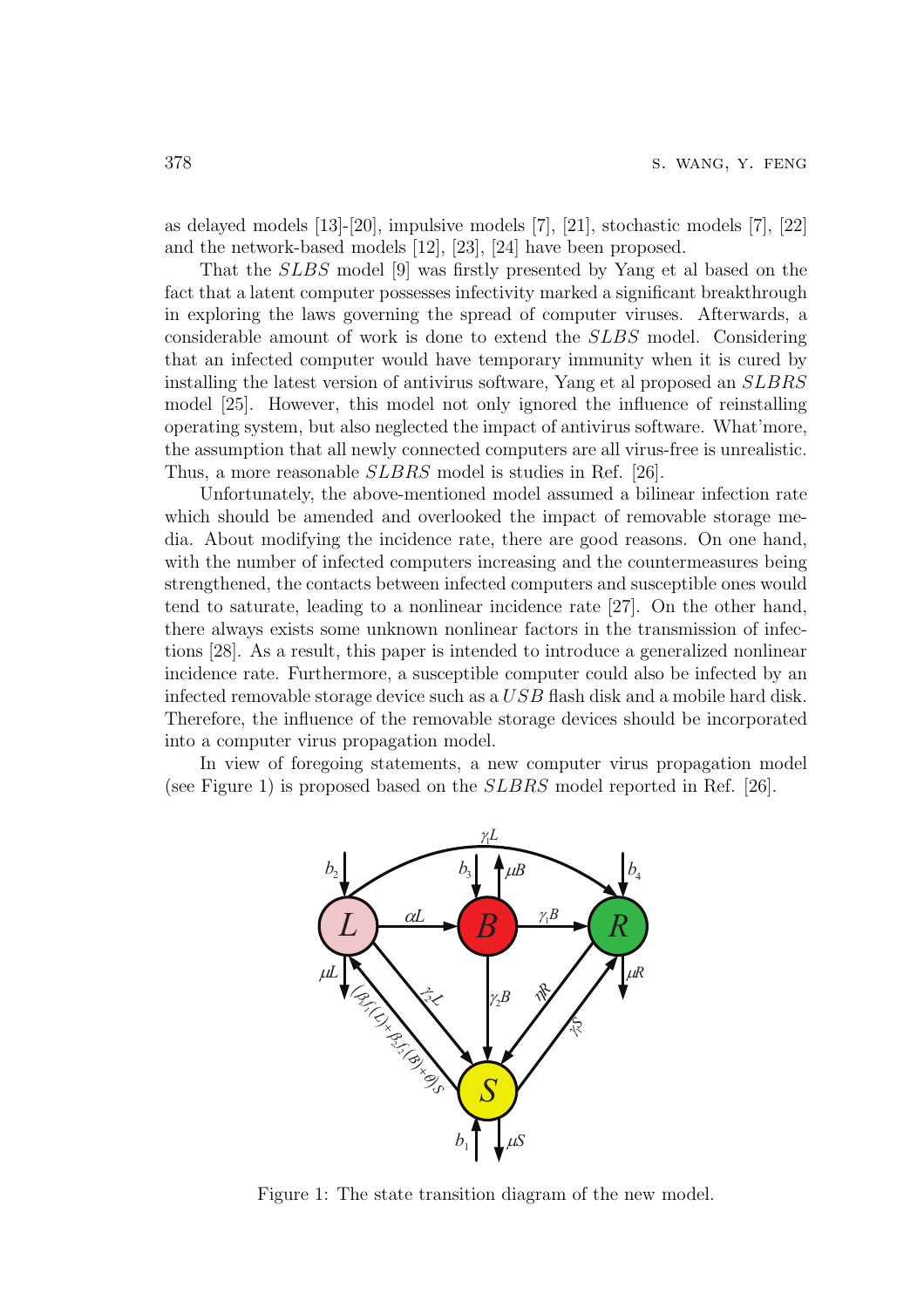as delayed models [13]-[20], impulsive models [7], [21], stochastic models [7], [22] and the network-based models [12], [23], [24] have been proposed.

That the SLBS model [9] was firstly presented by Yang et al based on the fact that a latent computer possesses infectivity marked a significant breakthrough in exploring the laws governing the spread of computer viruses. Afterwards, a considerable amount of work is done to extend the SLBS model. Considering that an infected computer would have temporary immunity when it is cured by installing the latest version of antivirus software, Yang et al proposed an SLBRS model [25]. However, this model not only ignored the influence of reinstalling operating system, but also neglected the impact of antivirus software. What'more, the assumption that all newly connected computers are all virus-free is unrealistic. Thus, a more reasonable *SLBRS* model is studies in Ref. [26].

Unfortunately, the above-mentioned model assumed a bilinear infection rate which should be amended and overlooked the impact of removable storage media. About modifying the incidence rate, there are good reasons. On one hand, with the number of infected computers increasing and the countermeasures being strengthened, the contacts between infected computers and susceptible ones would tend to saturate, leading to a nonlinear incidence rate [27]. On the other hand, there always exists some unknown nonlinear factors in the transmission of infections [28]. As a result, this paper is intended to introduce a generalized nonlinear incidence rate. Furthermore, a susceptible computer could also be infected by an infected removable storage device such as a USB flash disk and a mobile hard disk. Therefore, the influence of the removable storage devices should be incorporated into a computer virus propagation model.

In view of foregoing statements, a new computer virus propagation model (see Figure 1) is proposed based on the SLBRS model reported in Ref. [26].



Figure 1: The state transition diagram of the new model.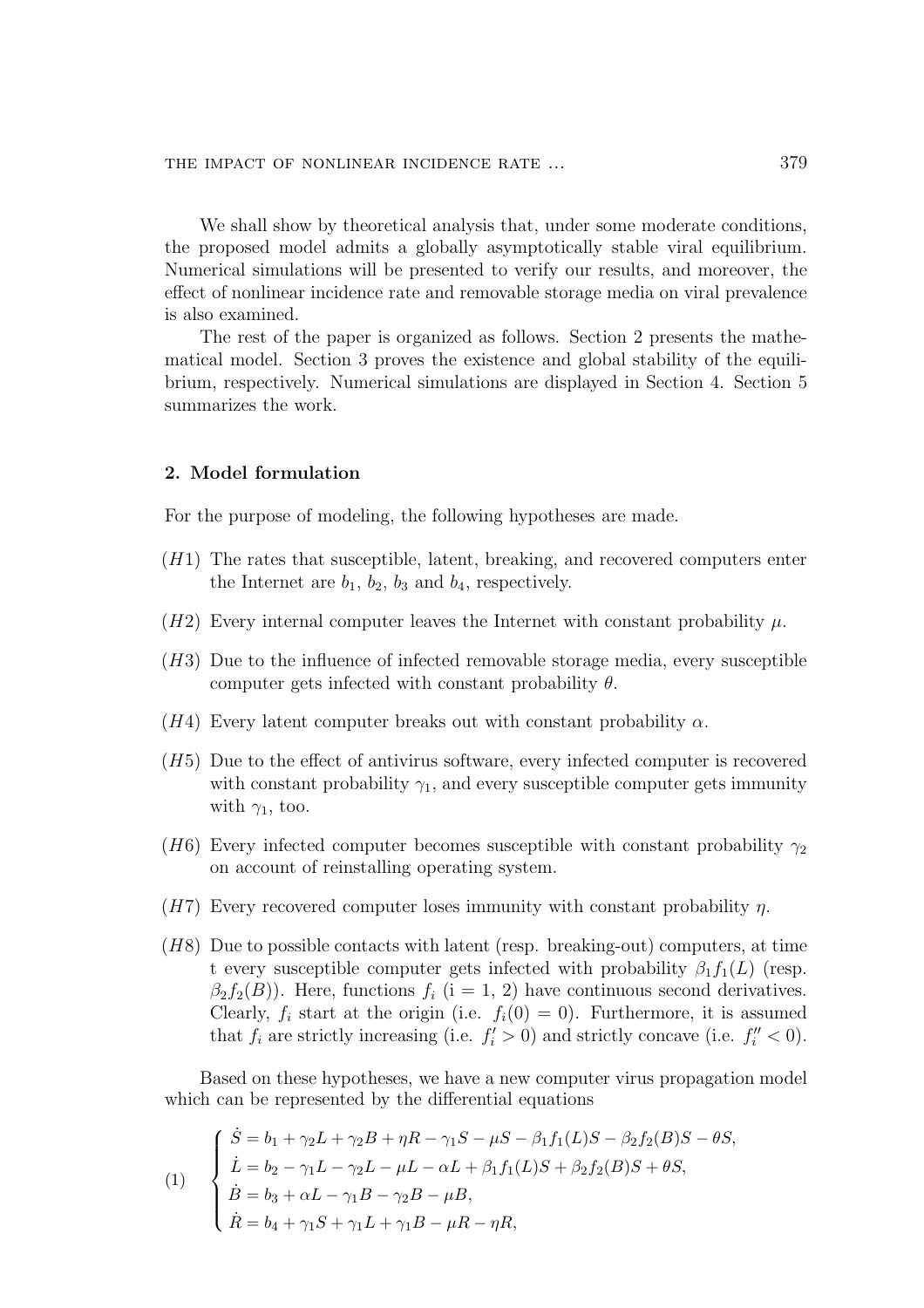We shall show by theoretical analysis that, under some moderate conditions, the proposed model admits a globally asymptotically stable viral equilibrium. Numerical simulations will be presented to verify our results, and moreover, the effect of nonlinear incidence rate and removable storage media on viral prevalence is also examined.

The rest of the paper is organized as follows. Section 2 presents the mathematical model. Section 3 proves the existence and global stability of the equilibrium, respectively. Numerical simulations are displayed in Section 4. Section 5 summarizes the work.

#### 2. Model formulation

For the purpose of modeling, the following hypotheses are made.

- (H1) The rates that susceptible, latent, breaking, and recovered computers enter the Internet are  $b_1$ ,  $b_2$ ,  $b_3$  and  $b_4$ , respectively.
- $(H2)$  Every internal computer leaves the Internet with constant probability  $\mu$ .
- (H3) Due to the influence of infected removable storage media, every susceptible computer gets infected with constant probability  $\theta$ .
- (H4) Every latent computer breaks out with constant probability  $\alpha$ .
- (H5) Due to the effect of antivirus software, every infected computer is recovered with constant probability  $\gamma_1$ , and every susceptible computer gets immunity with  $\gamma_1$ , too.
- (H6) Every infected computer becomes susceptible with constant probability  $\gamma_2$ on account of reinstalling operating system.
- (H7) Every recovered computer loses immunity with constant probability  $\eta$ .
- (H8) Due to possible contacts with latent (resp. breaking-out) computers, at time t every susceptible computer gets infected with probability  $\beta_1 f_1(L)$  (resp.  $\beta_2 f_2(B)$ ). Here, functions  $f_i$  (i = 1, 2) have continuous second derivatives. Clearly,  $f_i$  start at the origin (i.e.  $f_i(0) = 0$ ). Furthermore, it is assumed that  $f_i$  are strictly increasing (i.e.  $f'_i > 0$ ) and strictly concave (i.e.  $f''_i < 0$ ).

Based on these hypotheses, we have a new computer virus propagation model which can be represented by the differential equations

(1)  
\n
$$
\begin{cases}\n\dot{S} = b_1 + \gamma_2 L + \gamma_2 B + \eta R - \gamma_1 S - \mu S - \beta_1 f_1(L)S - \beta_2 f_2(B)S - \theta S, \\
\dot{L} = b_2 - \gamma_1 L - \gamma_2 L - \mu L - \alpha L + \beta_1 f_1(L)S + \beta_2 f_2(B)S + \theta S, \\
\dot{B} = b_3 + \alpha L - \gamma_1 B - \gamma_2 B - \mu B, \\
\dot{R} = b_4 + \gamma_1 S + \gamma_1 L + \gamma_1 B - \mu R - \eta R,\n\end{cases}
$$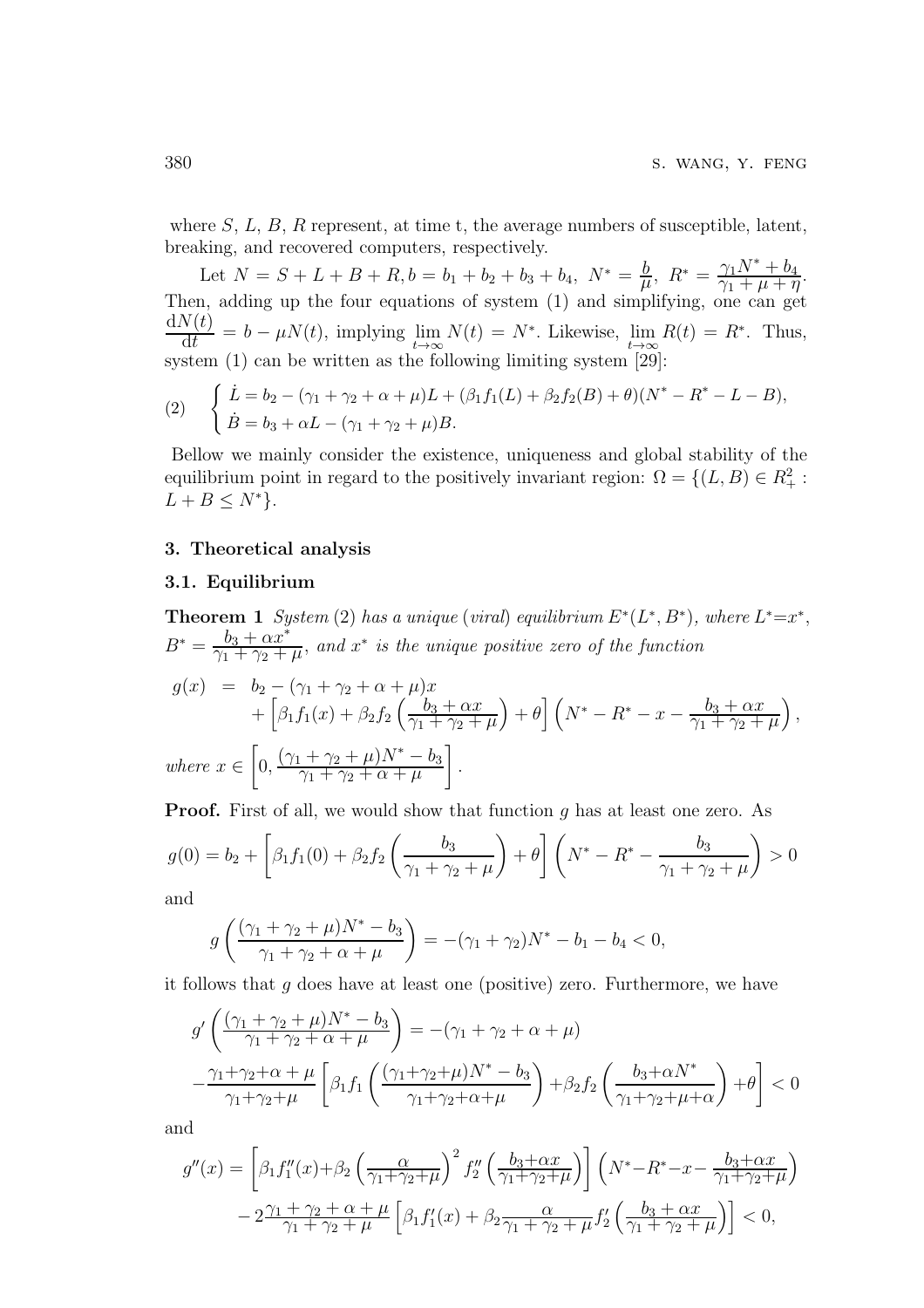where  $S, L, B, R$  represent, at time t, the average numbers of susceptible, latent, breaking, and recovered computers, respectively.

Let  $N = S + L + B + R$ ,  $b = b_1 + b_2 + b_3 + b_4$ ,  $N^* = \frac{b}{\mu}$  $\frac{b}{\mu}$ ,  $R^* = \frac{\gamma_1 N^* + b_4}{\gamma_1 + \mu + r_4}$  $\frac{\gamma_1 \cdots + \nu_4}{\gamma_1 + \mu + \eta}.$ Then, adding up the four equations of system (1) and simplifying, one can get  $dN(t)$  $\frac{N(t)}{dt} = b - \mu N(t)$ , implying  $\lim_{t \to \infty} N(t) = N^*$ . Likewise,  $\lim_{t \to \infty} R(t) = R^*$ . Thus, system (1) can be written as the following limiting system [29]:

(2) 
$$
\begin{cases} \dot{L} = b_2 - (\gamma_1 + \gamma_2 + \alpha + \mu)L + (\beta_1 f_1(L) + \beta_2 f_2(B) + \theta)(N^* - R^* - L - B), \\ \dot{B} = b_3 + \alpha L - (\gamma_1 + \gamma_2 + \mu)B. \end{cases}
$$

Bellow we mainly consider the existence, uniqueness and global stability of the equilibrium point in regard to the positively invariant region:  $\Omega = \{(L, B) \in R_+^2 :$  $L + B \leq N^*$ .

#### 3. Theoretical analysis

#### 3.1. Equilibrium

**Theorem 1** System (2) has a unique (viral) equilibrium  $E^*(L^*, B^*)$ , where  $L^*=x^*$ ,  $B^* = \frac{b_3 + \alpha x^*}{\gamma_1 + \gamma_2 + \cdots}$  $\frac{b_3 + \alpha x^*}{\gamma_1 + \gamma_2 + \mu}$ , and  $x^*$  is the unique positive zero of the function  $g(x) = b_2 - (\gamma_1 + \gamma_2 + \alpha + \mu)x$  $+\left[\beta_1 f_1(x)+\beta_2 f_2\left(\frac{b_3+\alpha x}{\gamma_1+\gamma_2+\alpha}\right)\right]$  $\gamma_1 + \gamma_2 + \mu$  $\Big\} + \theta \Big\[ \Big(N^* - R^* - x - \frac{b_3 + \alpha x}{\gamma_1 + \gamma_2 + \gamma_3} \Big)$  $\gamma_1 + \gamma_2 + \mu$  $\big)$ , where  $x \in$  $0, \frac{(\gamma_1 + \gamma_2 + \mu)N^* - b_3}{\gamma_1 + \gamma_2 + \alpha + \mu}$  $\gamma_1 + \gamma_2 + \alpha + \mu$ 1 .

**Proof.** First of all, we would show that function g has at least one zero. As

$$
g(0) = b_2 + \left[\beta_1 f_1(0) + \beta_2 f_2\left(\frac{b_3}{\gamma_1 + \gamma_2 + \mu}\right) + \theta\right] \left(N^* - R^* - \frac{b_3}{\gamma_1 + \gamma_2 + \mu}\right) > 0
$$

and

$$
g\left(\frac{(\gamma_1 + \gamma_2 + \mu)N^* - b_3}{\gamma_1 + \gamma_2 + \alpha + \mu}\right) = -(\gamma_1 + \gamma_2)N^* - b_1 - b_4 < 0,
$$

it follows that  $q$  does have at least one (positive) zero. Furthermore, we have

$$
g'\left(\frac{(\gamma_1 + \gamma_2 + \mu)N^* - b_3}{\gamma_1 + \gamma_2 + \alpha + \mu}\right) = -(\gamma_1 + \gamma_2 + \alpha + \mu)
$$

$$
-\frac{\gamma_1 + \gamma_2 + \alpha + \mu}{\gamma_1 + \gamma_2 + \mu} \left[\beta_1 f_1 \left(\frac{(\gamma_1 + \gamma_2 + \mu)N^* - b_3}{\gamma_1 + \gamma_2 + \alpha + \mu}\right) + \beta_2 f_2 \left(\frac{b_3 + \alpha N^*}{\gamma_1 + \gamma_2 + \mu + \alpha}\right) + \theta\right] < 0
$$

and

$$
g''(x) = \left[\beta_1 f_1''(x) + \beta_2 \left(\frac{\alpha}{\gamma_1 + \gamma_2 + \mu}\right)^2 f_2''\left(\frac{b_3 + \alpha x}{\gamma_1 + \gamma_2 + \mu}\right)\right] \left(N^* - R^* - x - \frac{b_3 + \alpha x}{\gamma_1 + \gamma_2 + \mu}\right) - 2\frac{\gamma_1 + \gamma_2 + \alpha + \mu}{\gamma_1 + \gamma_2 + \mu} \left[\beta_1 f_1'(x) + \beta_2 \frac{\alpha}{\gamma_1 + \gamma_2 + \mu} f_2'\left(\frac{b_3 + \alpha x}{\gamma_1 + \gamma_2 + \mu}\right)\right] < 0,
$$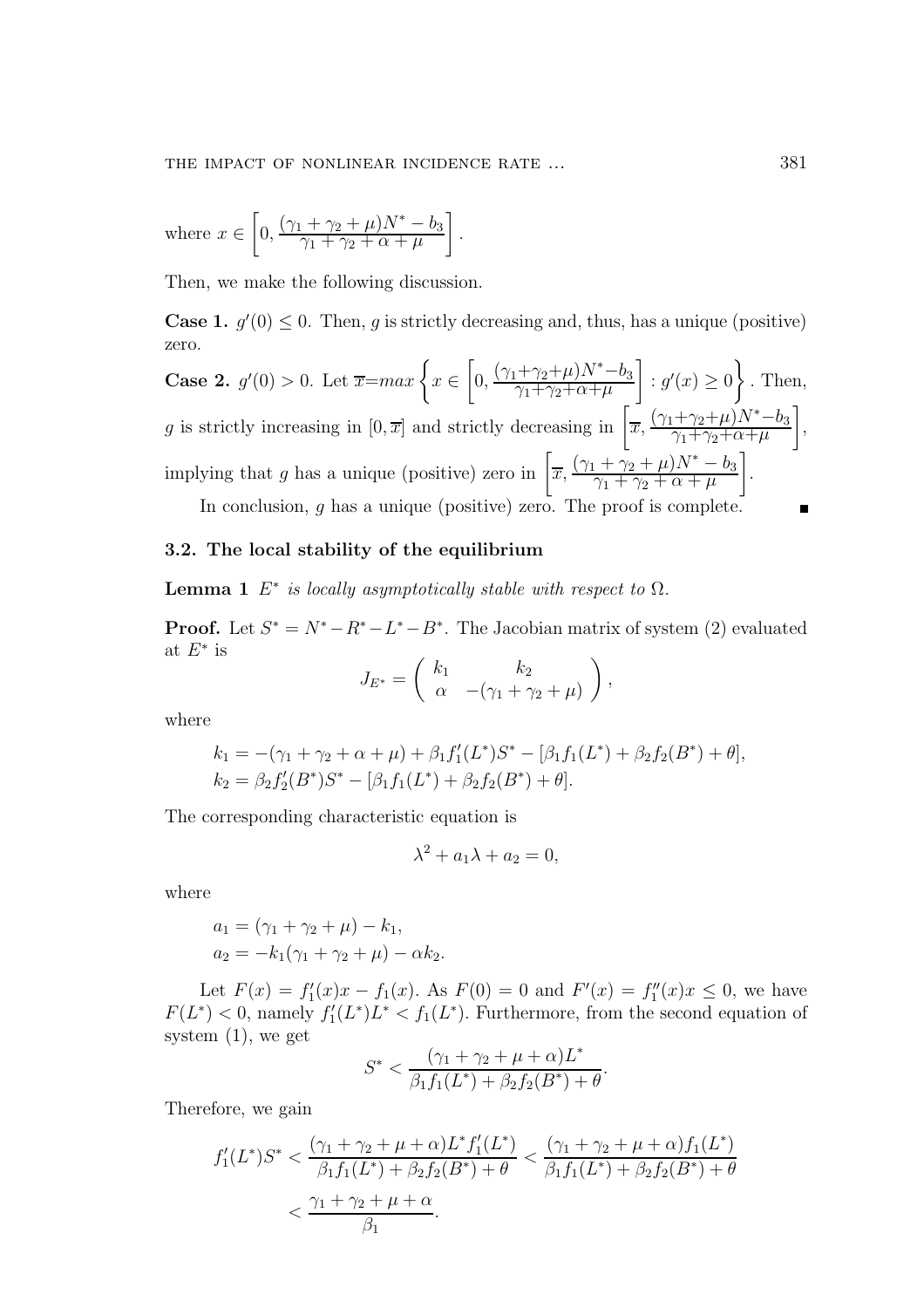where 
$$
x \in \left[0, \frac{(\gamma_1 + \gamma_2 + \mu)N^* - b_3}{\gamma_1 + \gamma_2 + \alpha + \mu}\right]
$$
.

Then, we make the following discussion.

**Case 1.**  $g'(0) \leq 0$ . Then, g is strictly decreasing and, thus, has a unique (positive) zero.  $(1+i)(1+i)(1+i)$  $\overline{1}$ 

**Case 2.** 
$$
g'(0) > 0
$$
. Let  $\overline{x} = max \left\{ x \in \left[ 0, \frac{(\gamma_1 + \gamma_2 + \mu)N^* - b_3}{\gamma_1 + \gamma_2 + \alpha + \mu} \right] : g'(x) \ge 0 \right\}$ . Then,  
  $g$  is strictly increasing in  $[0, \overline{x}]$  and strictly decreasing in  $\left[ \overline{x}, \frac{(\gamma_1 + \gamma_2 + \mu)N^* - b_3}{\gamma_1 + \gamma_2 + \alpha + \mu} \right]$ ,  
 implying that  $g$  has a unique (positive) zero in  $\left[ \overline{x}, \frac{(\gamma_1 + \gamma_2 + \mu)N^* - b_3}{\gamma_1 + \gamma_2 + \alpha + \mu} \right]$ .  
In conclusion,  $g$  has a unique (positive) zero. The proof is complete

In conclusion, g has a unique (positive) zero. The proof is complete.

#### 3.2. The local stability of the equilibrium

**Lemma 1**  $E^*$  is locally asymptotically stable with respect to  $\Omega$ .

**Proof.** Let  $S^* = N^* - R^* - L^* - B^*$ . The Jacobian matrix of system (2) evaluated at  $E^*$  is

$$
J_{E^*} = \begin{pmatrix} k_1 & k_2 \\ \alpha & -(\gamma_1 + \gamma_2 + \mu) \end{pmatrix},
$$

where

$$
k_1 = -(\gamma_1 + \gamma_2 + \alpha + \mu) + \beta_1 f'_1(L^*) S^* - [\beta_1 f_1(L^*) + \beta_2 f_2(B^*) + \theta],
$$
  
\n
$$
k_2 = \beta_2 f'_2(B^*) S^* - [\beta_1 f_1(L^*) + \beta_2 f_2(B^*) + \theta].
$$

The corresponding characteristic equation is

$$
\lambda^2 + a_1 \lambda + a_2 = 0,
$$

where

$$
a_1 = (\gamma_1 + \gamma_2 + \mu) - k_1,
$$
  
\n
$$
a_2 = -k_1(\gamma_1 + \gamma_2 + \mu) - \alpha k_2.
$$

Let  $F(x) = f_1'$  $f_1'(x)x - f_1(x)$ . As  $F(0) = 0$  and  $F'(x) = f_1''$  $j''_1(x)x \leq 0$ , we have  $F(L^*)$  < 0, namely  $f'_1$  $f_1'(L^*)L^* < f_1(L^*)$ . Furthermore, from the second equation of system (1), we get ∗

$$
S^* < \frac{(\gamma_1 + \gamma_2 + \mu + \alpha)L^*}{\beta_1 f_1(L^*) + \beta_2 f_2(B^*) + \theta}.
$$

Therefore, we gain

$$
f_1'(L^*)S^* < \frac{(\gamma_1 + \gamma_2 + \mu + \alpha)L^* f_1'(L^*)}{\beta_1 f_1(L^*) + \beta_2 f_2(B^*) + \theta} < \frac{(\gamma_1 + \gamma_2 + \mu + \alpha)f_1(L^*)}{\beta_1 f_1(L^*) + \beta_2 f_2(B^*) + \theta}
$$
  
< 
$$
< \frac{\gamma_1 + \gamma_2 + \mu + \alpha}{\beta_1}.
$$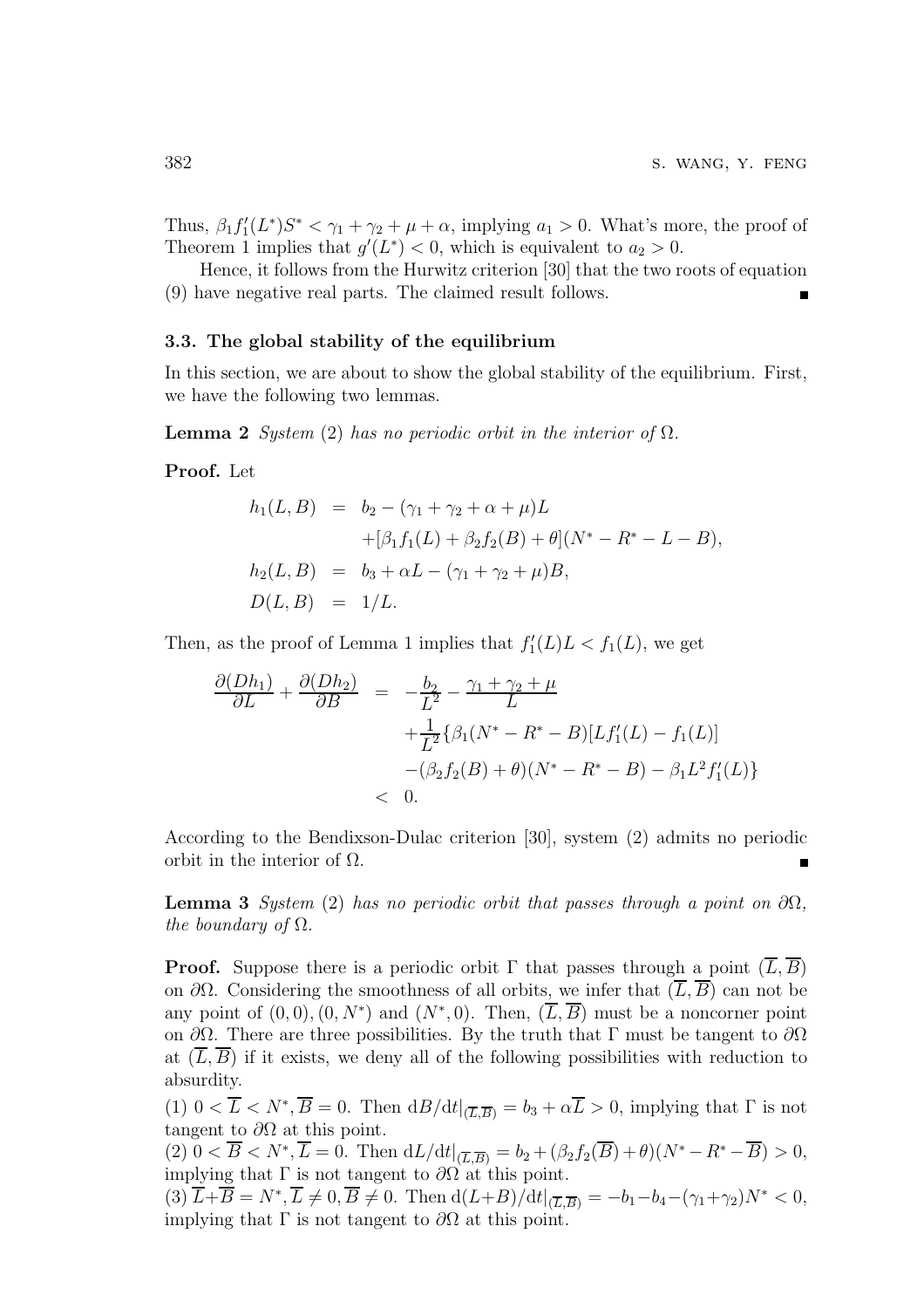Thus,  $\beta_1 f'_1$  $T_1'(L^*)S^* < \gamma_1 + \gamma_2 + \mu + \alpha$ , implying  $a_1 > 0$ . What's more, the proof of Theorem 1 implies that  $g'(L^*) < 0$ , which is equivalent to  $a_2 > 0$ .

Hence, it follows from the Hurwitz criterion [30] that the two roots of equation (9) have negative real parts. The claimed result follows.

#### 3.3. The global stability of the equilibrium

In this section, we are about to show the global stability of the equilibrium. First, we have the following two lemmas.

**Lemma 2** System (2) has no periodic orbit in the interior of  $\Omega$ .

Proof. Let

$$
h_1(L, B) = b_2 - (\gamma_1 + \gamma_2 + \alpha + \mu)L
$$
  
+ 
$$
[\beta_1 f_1(L) + \beta_2 f_2(B) + \theta](N^* - R^* - L - B),
$$
  

$$
h_2(L, B) = b_3 + \alpha L - (\gamma_1 + \gamma_2 + \mu)B,
$$
  

$$
D(L, B) = 1/L.
$$

Then, as the proof of Lemma 1 implies that  $f_1'$  $f_1'(L)L < f_1(L)$ , we get

$$
\frac{\partial(Dh_1)}{\partial L} + \frac{\partial(Dh_2)}{\partial B} = -\frac{b_2}{L^2} - \frac{\gamma_1 + \gamma_2 + \mu}{L} \n+ \frac{1}{L^2} \{\beta_1 (N^* - R^* - B)[Lf'_1(L) - f_1(L)] \n- (\beta_2 f_2(B) + \theta)(N^* - R^* - B) - \beta_1 L^2 f'_1(L) \}\n< 0.
$$

According to the Bendixson-Dulac criterion [30], system (2) admits no periodic orbit in the interior of  $Ω$ .

**Lemma 3** System (2) has no periodic orbit that passes through a point on  $\partial\Omega$ , the boundary of  $\Omega$ .

**Proof.** Suppose there is a periodic orbit Γ that passes through a point  $(\overline{L}, \overline{B})$ on  $\partial\Omega$ . Considering the smoothness of all orbits, we infer that  $(\overline{L}, \overline{B})$  can not be any point of  $(0,0), (0,N^*)$  and  $(N^*,0)$ . Then,  $(\overline{L}, \overline{B})$  must be a noncorner point on  $\partial\Omega$ . There are three possibilities. By the truth that Γ must be tangent to  $\partial\Omega$ at  $(L, B)$  if it exists, we deny all of the following possibilities with reduction to absurdity.

(1)  $0 < \overline{L} < N^*, \overline{B} = 0$ . Then  $dB/dt|_{(\overline{L}, \overline{B})} = b_3 + \alpha \overline{L} > 0$ , implying that  $\Gamma$  is not tangent to  $\partial\Omega$  at this point.

 $(2)$   $0 < \overline{B} < N^*, \overline{L} = 0$ . Then  $dL/dt|_{(\overline{L}, \overline{B})} = b_2 + (\beta_2 f_2(\overline{B}) + \theta)(N^* - R^* - \overline{B}) > 0$ , implying that  $\Gamma$  is not tangent to  $\partial \Omega$  at this point.

 $(3)\ \overline{L}+\overline{B}=N^*,\ \overline{L}\neq 0,\ \overline{B}\neq 0.$  Then  $d(L+B)/dt|_{(\overline{L},\overline{B})}=-b_1-b_4-(\gamma_1+\gamma_2)N^*< 0,$ implying that  $\Gamma$  is not tangent to  $\partial\Omega$  at this point.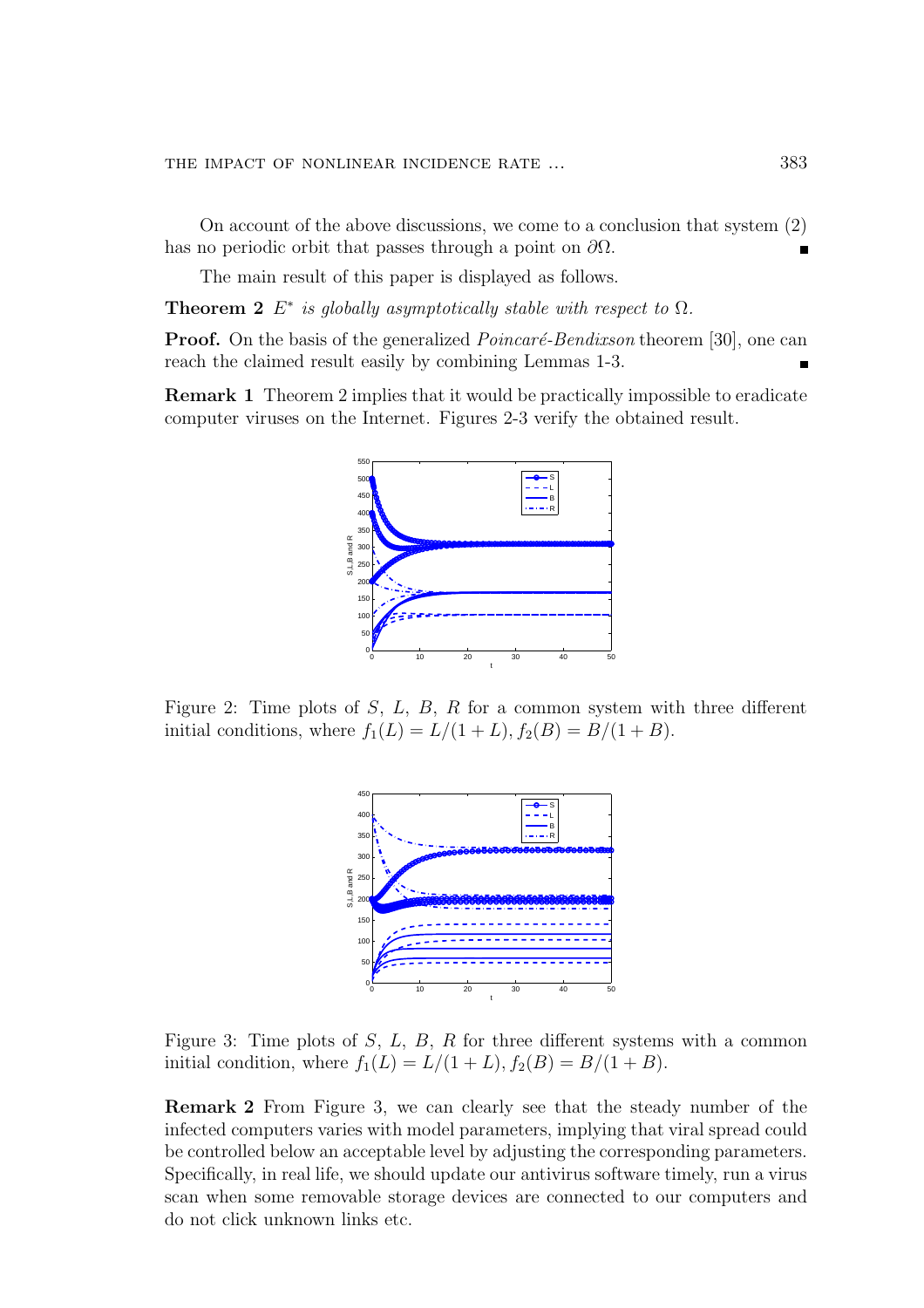On account of the above discussions, we come to a conclusion that system (2) has no periodic orbit that passes through a point on  $\partial\Omega$ .

The main result of this paper is displayed as follows.

**Theorem 2**  $E^*$  is globally asymptotically stable with respect to  $\Omega$ .

**Proof.** On the basis of the generalized  $Poincaré-Bendixson$  theorem [30], one can reach the claimed result easily by combining Lemmas 1-3.

Remark 1 Theorem 2 implies that it would be practically impossible to eradicate computer viruses on the Internet. Figures 2-3 verify the obtained result.



Figure 2: Time plots of  $S$ ,  $L$ ,  $B$ ,  $R$  for a common system with three different initial conditions, where  $f_1(L) = L/(1 + L), f_2(B) = B/(1 + B)$ .



Figure 3: Time plots of  $S, L, B, R$  for three different systems with a common initial condition, where  $f_1(L) = L/(1 + L), f_2(B) = B/(1 + B).$ 

Remark 2 From Figure 3, we can clearly see that the steady number of the infected computers varies with model parameters, implying that viral spread could be controlled below an acceptable level by adjusting the corresponding parameters. Specifically, in real life, we should update our antivirus software timely, run a virus scan when some removable storage devices are connected to our computers and do not click unknown links etc.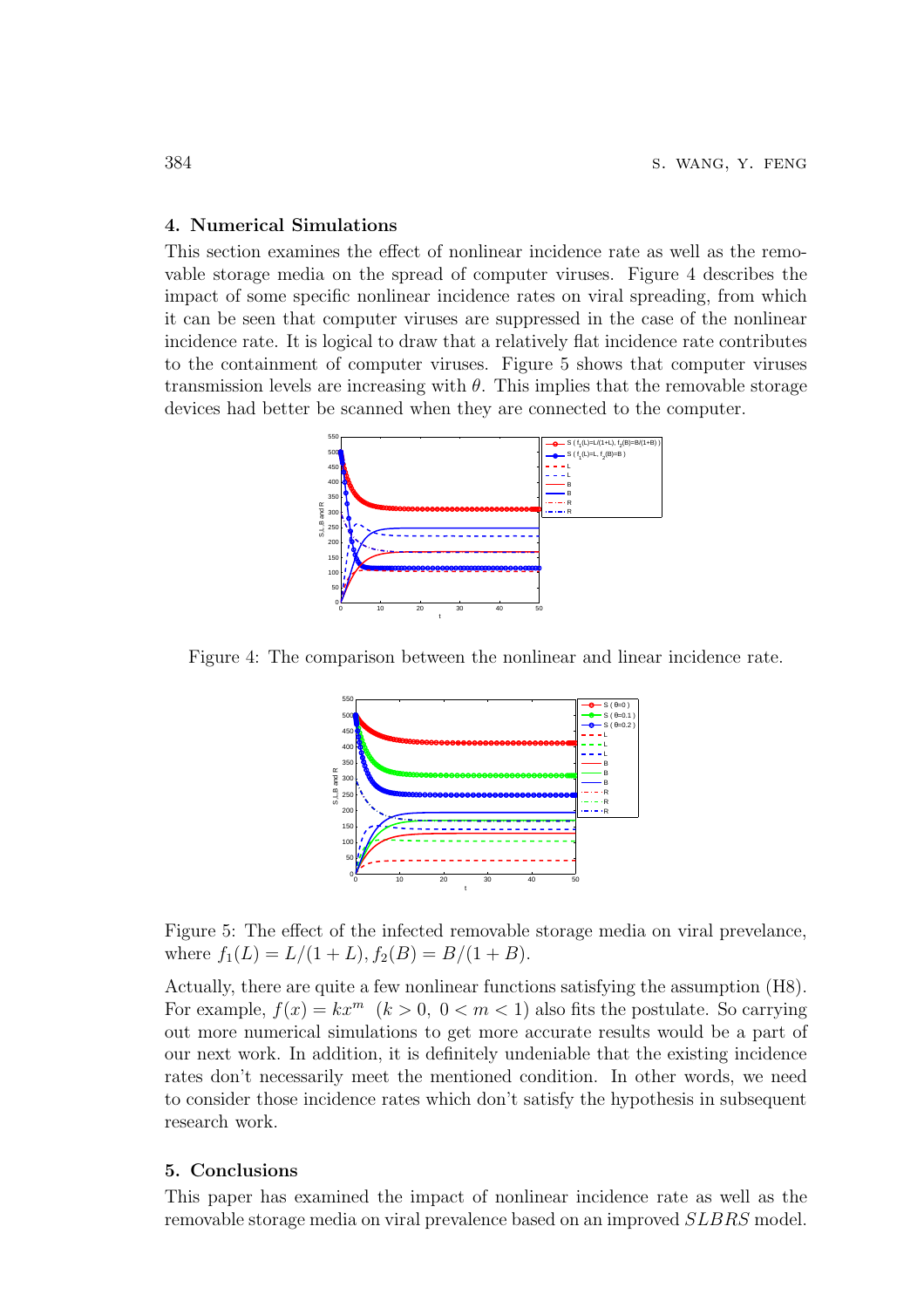#### 4. Numerical Simulations

This section examines the effect of nonlinear incidence rate as well as the removable storage media on the spread of computer viruses. Figure 4 describes the impact of some specific nonlinear incidence rates on viral spreading, from which it can be seen that computer viruses are suppressed in the case of the nonlinear incidence rate. It is logical to draw that a relatively flat incidence rate contributes to the containment of computer viruses. Figure 5 shows that computer viruses transmission levels are increasing with  $\theta$ . This implies that the removable storage devices had better be scanned when they are connected to the computer.



Figure 4: The comparison between the nonlinear and linear incidence rate.



Figure 5: The effect of the infected removable storage media on viral prevelance, where  $f_1(L) = L/(1+L), f_2(B) = B/(1+B)$ .

Actually, there are quite a few nonlinear functions satisfying the assumption (H8). For example,  $f(x) = kx^m$   $(k > 0, 0 < m < 1)$  also fits the postulate. So carrying out more numerical simulations to get more accurate results would be a part of our next work. In addition, it is definitely undeniable that the existing incidence rates don't necessarily meet the mentioned condition. In other words, we need to consider those incidence rates which don't satisfy the hypothesis in subsequent research work.

### 5. Conclusions

This paper has examined the impact of nonlinear incidence rate as well as the removable storage media on viral prevalence based on an improved SLBRS model.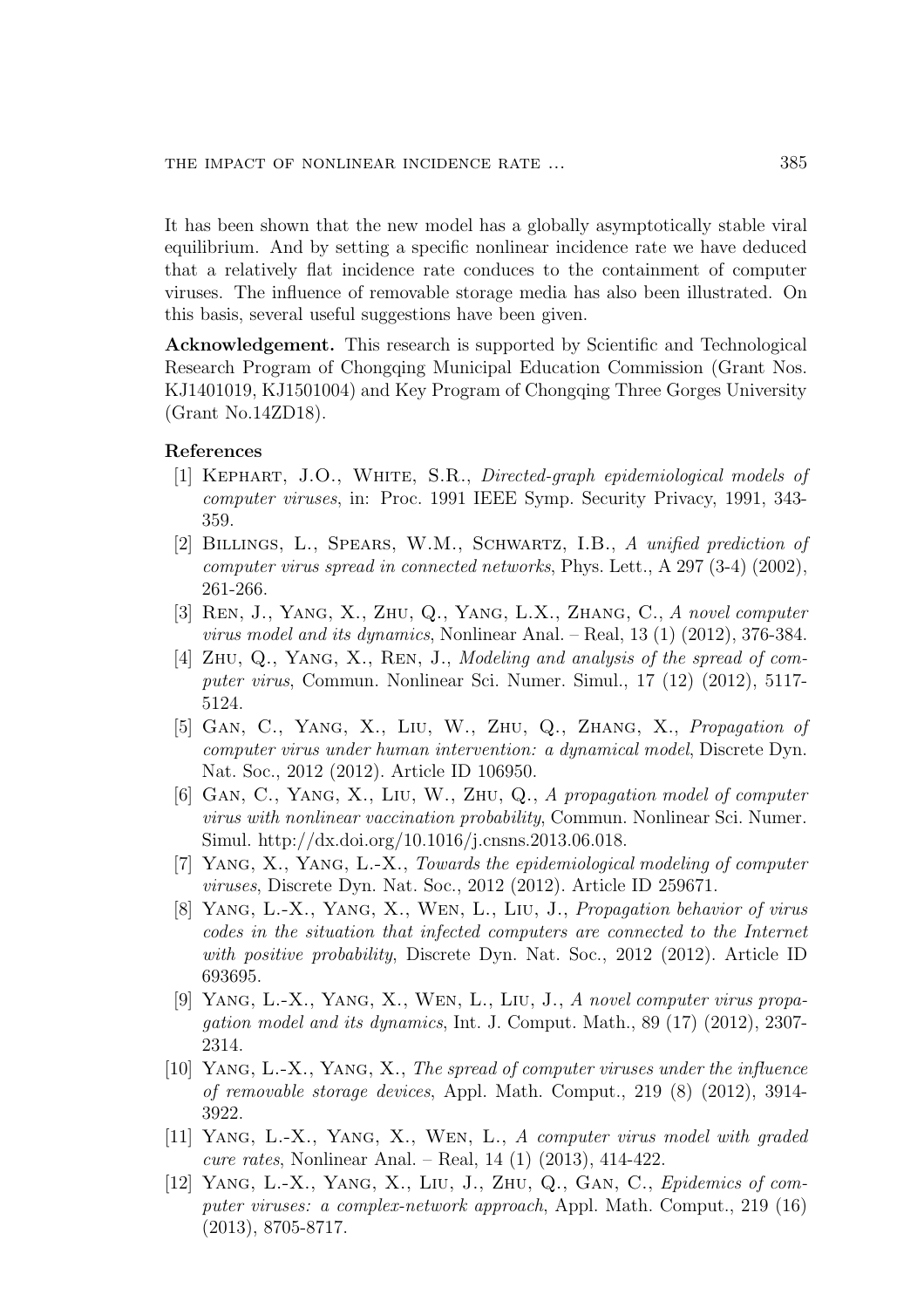It has been shown that the new model has a globally asymptotically stable viral equilibrium. And by setting a specific nonlinear incidence rate we have deduced that a relatively flat incidence rate conduces to the containment of computer viruses. The influence of removable storage media has also been illustrated. On this basis, several useful suggestions have been given.

Acknowledgement. This research is supported by Scientific and Technological Research Program of Chongqing Municipal Education Commission (Grant Nos. KJ1401019, KJ1501004) and Key Program of Chongqing Three Gorges University (Grant No.14ZD18).

#### References

- [1] KEPHART, J.O., WHITE, S.R., Directed-graph epidemiological models of computer viruses, in: Proc. 1991 IEEE Symp. Security Privacy, 1991, 343- 359.
- [2] Billings, L., Spears, W.M., Schwartz, I.B., A unified prediction of computer virus spread in connected networks, Phys. Lett.,  $A$  297 (3-4) (2002), 261-266.
- [3] Ren, J., Yang, X., Zhu, Q., Yang, L.X., Zhang, C., A novel computer virus model and its dynamics, Nonlinear Anal. – Real, 13 (1) (2012), 376-384.
- [4] ZHU, Q., YANG, X., REN, J., Modeling and analysis of the spread of computer virus, Commun. Nonlinear Sci. Numer. Simul., 17 (12) (2012), 5117- 5124.
- [5] Gan, C., Yang, X., Liu, W., Zhu, Q., Zhang, X., Propagation of computer virus under human intervention: a dynamical model, Discrete Dyn. Nat. Soc., 2012 (2012). Article ID 106950.
- [6] Gan, C., Yang, X., Liu, W., Zhu, Q., A propagation model of computer virus with nonlinear vaccination probability, Commun. Nonlinear Sci. Numer. Simul. http://dx.doi.org/10.1016/j.cnsns.2013.06.018.
- [7] Yang, X., Yang, L.-X., Towards the epidemiological modeling of computer viruses, Discrete Dyn. Nat. Soc., 2012 (2012). Article ID 259671.
- [8] Yang, L.-X., Yang, X., Wen, L., Liu, J., Propagation behavior of virus codes in the situation that infected computers are connected to the Internet with positive probability, Discrete Dyn. Nat. Soc., 2012 (2012). Article ID 693695.
- [9] Yang, L.-X., Yang, X., Wen, L., Liu, J., A novel computer virus propagation model and its dynamics, Int. J. Comput. Math., 89 (17) (2012), 2307- 2314.
- [10] Yang, L.-X., Yang, X., The spread of computer viruses under the influence of removable storage devices, Appl. Math. Comput., 219 (8) (2012), 3914- 3922.
- [11] Yang, L.-X., Yang, X., Wen, L., A computer virus model with graded cure rates, Nonlinear Anal. – Real, 14 (1) (2013), 414-422.
- [12] Yang, L.-X., Yang, X., Liu, J., Zhu, Q., Gan, C., Epidemics of computer viruses: a complex-network approach, Appl. Math. Comput., 219 (16) (2013), 8705-8717.